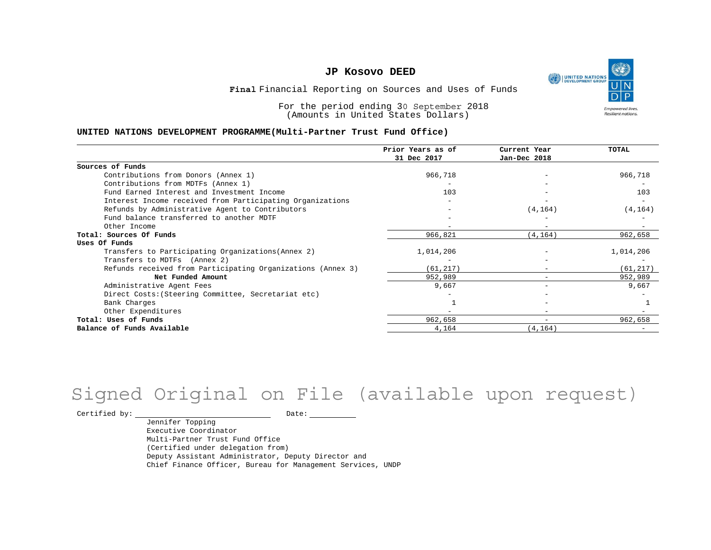

Financial Reporting on Sources and Uses of Funds **Final**

For the period ending 30 September 2018 (Amounts in United States Dollars)

#### **UNITED NATIONS DEVELOPMENT PROGRAMME(Multi-Partner Trust Fund Office)**

|                                                             | Prior Years as of<br>31 Dec 2017 | Current Year<br>Jan-Dec 2018 | TOTAL     |
|-------------------------------------------------------------|----------------------------------|------------------------------|-----------|
|                                                             |                                  |                              |           |
| Sources of Funds                                            |                                  |                              |           |
| Contributions from Donors (Annex 1)                         | 966,718                          |                              | 966,718   |
| Contributions from MDTFs (Annex 1)                          |                                  |                              |           |
| Fund Earned Interest and Investment Income                  | 103                              |                              | 103       |
| Interest Income received from Participating Organizations   |                                  |                              |           |
| Refunds by Administrative Agent to Contributors             |                                  | (4, 164)                     | (4, 164)  |
| Fund balance transferred to another MDTF                    |                                  |                              |           |
| Other Income                                                |                                  |                              |           |
| Total: Sources Of Funds                                     | 966,821                          | (4, 164)                     | 962,658   |
| Uses Of Funds                                               |                                  |                              |           |
| Transfers to Participating Organizations (Annex 2)          | 1,014,206                        |                              | 1,014,206 |
| Transfers to MDTFs (Annex 2)                                |                                  |                              |           |
| Refunds received from Participating Organizations (Annex 3) | (61, 217)                        |                              | (61, 217) |
| Net Funded Amount                                           | 952,989                          |                              | 952,989   |
| Administrative Agent Fees                                   | 9,667                            | $\overline{\phantom{0}}$     | 9,667     |
| Direct Costs: (Steering Committee, Secretariat etc)         |                                  |                              |           |
| Bank Charges                                                |                                  |                              |           |
| Other Expenditures                                          |                                  |                              |           |
| Total: Uses of Funds                                        | 962,658                          | $\qquad \qquad -$            | 962,658   |
| Balance of Funds Available                                  | 4,164                            | (4, 164)                     |           |

# Signed Original on File (available upon request)

Certified by: Date:

Jennifer Topping Executive Coordinator Multi-Partner Trust Fund Office (Certified under delegation from) Deputy Assistant Administrator, Deputy Director and Chief Finance Officer, Bureau for Management Services, UNDP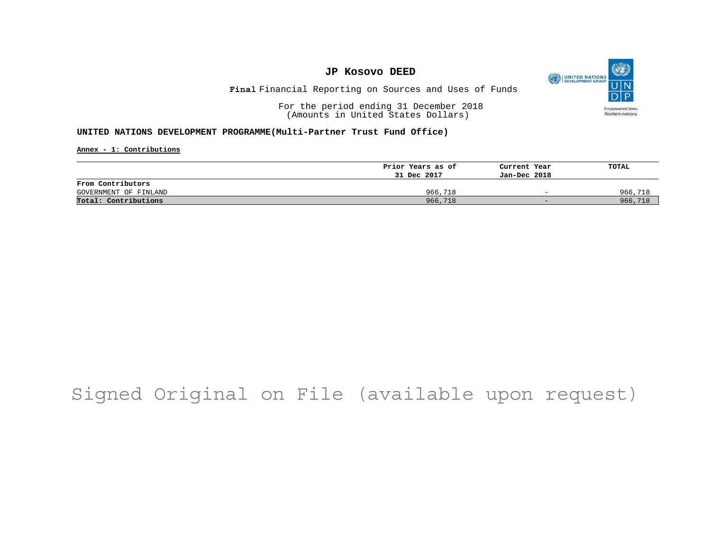

# Financial Reporting on Sources and Uses of Funds **Final**

For the period ending 31 December 2018 (Amounts in United States Dollars)

### **UNITED NATIONS DEVELOPMENT PROGRAMME(Multi-Partner Trust Fund Office)**

**Annex - 1: Contributions**

|                       | Prior Years as of | Current Year             | TOTAL   |
|-----------------------|-------------------|--------------------------|---------|
|                       | 31 Dec 2017       | Jan-Dec 2018             |         |
| From Contributors     |                   |                          |         |
| GOVERNMENT OF FINLAND | 966,718           | $\overline{\phantom{0}}$ | 966,718 |
| Total: Contributions  | 966,718           | $-$                      | 966,718 |

# Signed Original on File (available upon request)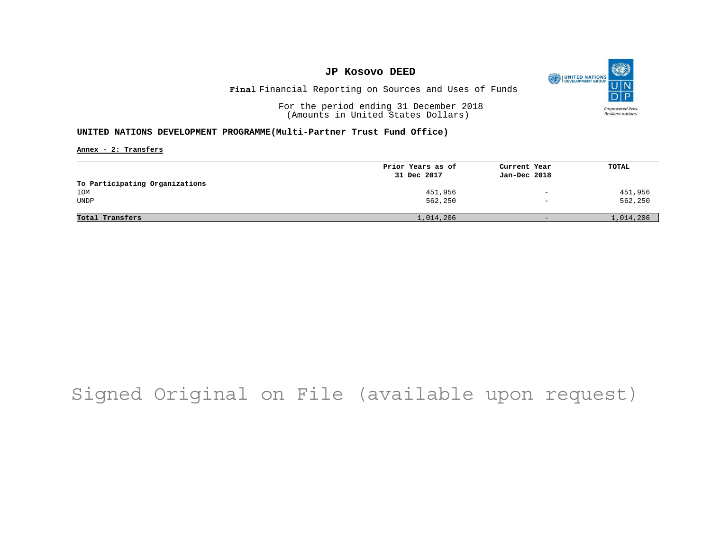

Financial Reporting on Sources and Uses of Funds **Final**

For the period ending 31 December 2018 (Amounts in United States Dollars)

### **UNITED NATIONS DEVELOPMENT PROGRAMME(Multi-Partner Trust Fund Office)**

**Annex - 2: Transfers**

|                                | Prior Years as of | Current Year                 | TOTAL     |
|--------------------------------|-------------------|------------------------------|-----------|
|                                | 31 Dec 2017       | Jan-Dec 2018                 |           |
| To Participating Organizations |                   |                              |           |
| IOM                            | 451,956           | $\overline{\phantom{m}}$     | 451,956   |
| <b>UNDP</b>                    | 562,250           | $\qquad \qquad \blacksquare$ | 562,250   |
|                                |                   |                              |           |
| Total Transfers                | 1,014,206         | $-$                          | 1,014,206 |

# Signed Original on File (available upon request)